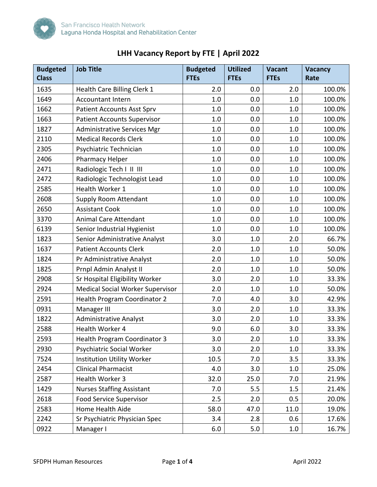

|  | LHH Vacancy Report by FTE   April 2022 |  |
|--|----------------------------------------|--|
|--|----------------------------------------|--|

| <b>Budgeted</b><br><b>Class</b> | <b>Job Title</b>                        | <b>Budgeted</b><br><b>FTEs</b> | <b>Utilized</b><br><b>FTEs</b> | <b>Vacant</b><br><b>FTEs</b> | Vacancy<br>Rate |
|---------------------------------|-----------------------------------------|--------------------------------|--------------------------------|------------------------------|-----------------|
| 1635                            | Health Care Billing Clerk 1             | 2.0                            | 0.0                            | 2.0                          | 100.0%          |
| 1649                            | <b>Accountant Intern</b>                | 1.0                            | 0.0                            | 1.0                          | 100.0%          |
| 1662                            | <b>Patient Accounts Asst Sprv</b>       | 1.0                            | 0.0                            | 1.0                          | 100.0%          |
| 1663                            | <b>Patient Accounts Supervisor</b>      | 1.0                            | 0.0                            | 1.0                          | 100.0%          |
| 1827                            | <b>Administrative Services Mgr</b>      | 1.0                            | 0.0                            | 1.0                          | 100.0%          |
| 2110                            | <b>Medical Records Clerk</b>            | 1.0                            | 0.0                            | 1.0                          | 100.0%          |
| 2305                            | Psychiatric Technician                  | 1.0                            | 0.0                            | 1.0                          | 100.0%          |
| 2406                            | Pharmacy Helper                         | 1.0                            | 0.0                            | 1.0                          | 100.0%          |
| 2471                            | Radiologic Tech I II III                | 1.0                            | 0.0                            | 1.0                          | 100.0%          |
| 2472                            | Radiologic Technologist Lead            | 1.0                            | 0.0                            | 1.0                          | 100.0%          |
| 2585                            | <b>Health Worker 1</b>                  | 1.0                            | 0.0                            | 1.0                          | 100.0%          |
| 2608                            | <b>Supply Room Attendant</b>            | 1.0                            | 0.0                            | 1.0                          | 100.0%          |
| 2650                            | <b>Assistant Cook</b>                   | 1.0                            | 0.0                            | 1.0                          | 100.0%          |
| 3370                            | <b>Animal Care Attendant</b>            | 1.0                            | 0.0                            | 1.0                          | 100.0%          |
| 6139                            | Senior Industrial Hygienist             | 1.0                            | 0.0                            | 1.0                          | 100.0%          |
| 1823                            | Senior Administrative Analyst           | 3.0                            | 1.0                            | 2.0                          | 66.7%           |
| 1637                            | <b>Patient Accounts Clerk</b>           | 2.0                            | 1.0                            | 1.0                          | 50.0%           |
| 1824                            | Pr Administrative Analyst               | 2.0                            | 1.0                            | 1.0                          | 50.0%           |
| 1825                            | Prnpl Admin Analyst II                  | 2.0                            | 1.0                            | 1.0                          | 50.0%           |
| 2908                            | Sr Hospital Eligibility Worker          | 3.0                            | 2.0                            | 1.0                          | 33.3%           |
| 2924                            | <b>Medical Social Worker Supervisor</b> | 2.0                            | 1.0                            | 1.0                          | 50.0%           |
| 2591                            | <b>Health Program Coordinator 2</b>     | 7.0                            | 4.0                            | 3.0                          | 42.9%           |
| 0931                            | Manager III                             | 3.0                            | 2.0                            | 1.0                          | 33.3%           |
| 1822                            | <b>Administrative Analyst</b>           | 3.0                            | 2.0                            | 1.0                          | 33.3%           |
| 2588                            | Health Worker 4                         | 9.0                            | 6.0                            | 3.0                          | 33.3%           |
| 2593                            | <b>Health Program Coordinator 3</b>     | 3.0                            | 2.0                            | $1.0\,$                      | 33.3%           |
| 2930                            | Psychiatric Social Worker               | 3.0                            | 2.0                            | 1.0                          | 33.3%           |
| 7524                            | Institution Utility Worker              | 10.5                           | 7.0                            | 3.5                          | 33.3%           |
| 2454                            | <b>Clinical Pharmacist</b>              | 4.0                            | 3.0                            | 1.0                          | 25.0%           |
| 2587                            | Health Worker 3                         | 32.0                           | 25.0                           | 7.0                          | 21.9%           |
| 1429                            | <b>Nurses Staffing Assistant</b>        | 7.0                            | 5.5                            | 1.5                          | 21.4%           |
| 2618                            | <b>Food Service Supervisor</b>          | 2.5                            | 2.0                            | 0.5                          | 20.0%           |
| 2583                            | Home Health Aide                        | 58.0                           | 47.0                           | 11.0                         | 19.0%           |
| 2242                            | Sr Psychiatric Physician Spec           | 3.4                            | 2.8                            | 0.6                          | 17.6%           |
| 0922                            | Manager I                               | 6.0                            | 5.0                            | 1.0                          | 16.7%           |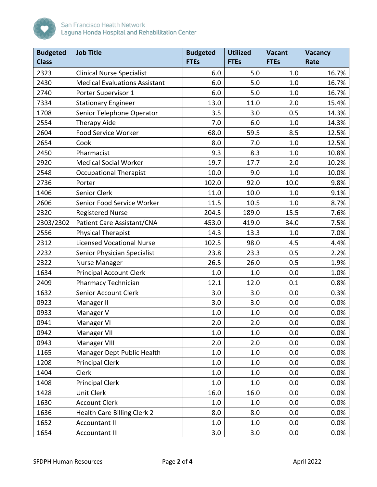

| <b>Budgeted</b><br><b>Class</b> | <b>Job Title</b>                     | <b>Budgeted</b><br><b>FTEs</b> | <b>Utilized</b><br><b>FTEs</b> | <b>Vacant</b><br><b>FTEs</b> | <b>Vacancy</b><br>Rate |
|---------------------------------|--------------------------------------|--------------------------------|--------------------------------|------------------------------|------------------------|
| 2323                            | <b>Clinical Nurse Specialist</b>     | 6.0                            | 5.0                            | 1.0                          | 16.7%                  |
| 2430                            | <b>Medical Evaluations Assistant</b> | 6.0                            | 5.0                            | 1.0                          | 16.7%                  |
| 2740                            | Porter Supervisor 1                  | 6.0                            | 5.0                            | 1.0                          | 16.7%                  |
| 7334                            | <b>Stationary Engineer</b>           | 13.0                           | 11.0                           | 2.0                          | 15.4%                  |
| 1708                            | Senior Telephone Operator            | 3.5                            | 3.0                            | 0.5                          | 14.3%                  |
| 2554                            | <b>Therapy Aide</b>                  | 7.0                            | 6.0                            | 1.0                          | 14.3%                  |
| 2604                            | Food Service Worker                  | 68.0                           | 59.5                           | 8.5                          | 12.5%                  |
| 2654                            | Cook                                 | 8.0                            | 7.0                            | 1.0                          | 12.5%                  |
| 2450                            | Pharmacist                           | 9.3                            | 8.3                            | 1.0                          | 10.8%                  |
| 2920                            | <b>Medical Social Worker</b>         | 19.7                           | 17.7                           | 2.0                          | 10.2%                  |
| 2548                            | <b>Occupational Therapist</b>        | 10.0                           | 9.0                            | 1.0                          | 10.0%                  |
| 2736                            | Porter                               | 102.0                          | 92.0                           | 10.0                         | 9.8%                   |
| 1406                            | Senior Clerk                         | 11.0                           | 10.0                           | 1.0                          | 9.1%                   |
| 2606                            | Senior Food Service Worker           | 11.5                           | 10.5                           | 1.0                          | 8.7%                   |
| 2320                            | <b>Registered Nurse</b>              | 204.5                          | 189.0                          | 15.5                         | 7.6%                   |
| 2303/2302                       | Patient Care Assistant/CNA           | 453.0                          | 419.0                          | 34.0                         | 7.5%                   |
| 2556                            | <b>Physical Therapist</b>            | 14.3                           | 13.3                           | 1.0                          | 7.0%                   |
| 2312                            | <b>Licensed Vocational Nurse</b>     | 102.5                          | 98.0                           | 4.5                          | 4.4%                   |
| 2232                            | Senior Physician Specialist          | 23.8                           | 23.3                           | 0.5                          | 2.2%                   |
| 2322                            | <b>Nurse Manager</b>                 | 26.5                           | 26.0                           | 0.5                          | 1.9%                   |
| 1634                            | <b>Principal Account Clerk</b>       | 1.0                            | 1.0                            | 0.0                          | 1.0%                   |
| 2409                            | <b>Pharmacy Technician</b>           | 12.1                           | 12.0                           | 0.1                          | 0.8%                   |
| 1632                            | Senior Account Clerk                 | 3.0                            | 3.0                            | 0.0                          | 0.3%                   |
| 0923                            | Manager II                           | 3.0                            | 3.0                            | 0.0                          | 0.0%                   |
| 0933                            | Manager V                            | 1.0                            | 1.0                            | 0.0                          | 0.0%                   |
| 0941                            | Manager VI                           | 2.0                            | 2.0                            | 0.0                          | 0.0%                   |
| 0942                            | Manager VII                          | 1.0                            | 1.0                            | 0.0                          | 0.0%                   |
| 0943                            | Manager VIII                         | 2.0                            | 2.0                            | 0.0                          | 0.0%                   |
| 1165                            | Manager Dept Public Health           | 1.0                            | 1.0                            | 0.0                          | 0.0%                   |
| 1208                            | <b>Principal Clerk</b>               | 1.0                            | 1.0                            | 0.0                          | 0.0%                   |
| 1404                            | Clerk                                | 1.0                            | 1.0                            | 0.0                          | 0.0%                   |
| 1408                            | <b>Principal Clerk</b>               | 1.0                            | 1.0                            | 0.0                          | 0.0%                   |
| 1428                            | <b>Unit Clerk</b>                    | 16.0                           | 16.0                           | 0.0                          | 0.0%                   |
| 1630                            | <b>Account Clerk</b>                 | 1.0                            | 1.0                            | 0.0                          | 0.0%                   |
| 1636                            | Health Care Billing Clerk 2          | 8.0                            | 8.0                            | 0.0                          | 0.0%                   |
| 1652                            | <b>Accountant II</b>                 | 1.0                            | 1.0                            | 0.0                          | 0.0%                   |
| 1654                            | <b>Accountant III</b>                | 3.0                            | 3.0                            | 0.0                          | $0.0\%$                |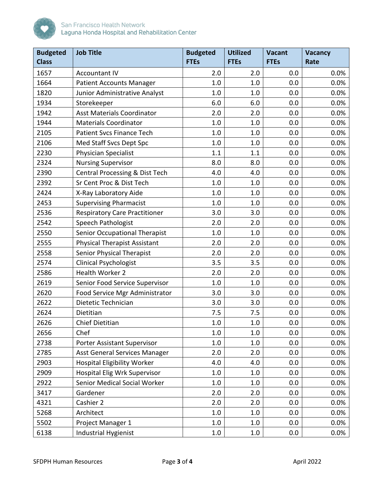

| <b>Budgeted</b><br><b>Class</b> | <b>Job Title</b>                     | <b>Budgeted</b><br><b>FTEs</b> | <b>Utilized</b><br><b>FTEs</b> | <b>Vacant</b><br><b>FTEs</b> | <b>Vacancy</b><br>Rate |
|---------------------------------|--------------------------------------|--------------------------------|--------------------------------|------------------------------|------------------------|
| 1657                            | <b>Accountant IV</b>                 | 2.0                            | 2.0                            | 0.0                          | 0.0%                   |
| 1664                            | <b>Patient Accounts Manager</b>      | 1.0                            | 1.0                            | 0.0                          | 0.0%                   |
| 1820                            | Junior Administrative Analyst        | 1.0                            | 1.0                            | 0.0                          | 0.0%                   |
| 1934                            | Storekeeper                          | 6.0                            | 6.0                            | 0.0                          | 0.0%                   |
| 1942                            | <b>Asst Materials Coordinator</b>    | 2.0                            | 2.0                            | 0.0                          | 0.0%                   |
| 1944                            | <b>Materials Coordinator</b>         | 1.0                            | 1.0                            | 0.0                          | 0.0%                   |
| 2105                            | Patient Svcs Finance Tech            | 1.0                            | 1.0                            | 0.0                          | 0.0%                   |
| 2106                            | Med Staff Svcs Dept Spc              | 1.0                            | 1.0                            | 0.0                          | 0.0%                   |
| 2230                            | <b>Physician Specialist</b>          | 1.1                            | 1.1                            | 0.0                          | 0.0%                   |
| 2324                            | <b>Nursing Supervisor</b>            | 8.0                            | 8.0                            | 0.0                          | 0.0%                   |
| 2390                            | Central Processing & Dist Tech       | 4.0                            | 4.0                            | 0.0                          | 0.0%                   |
| 2392                            | Sr Cent Proc & Dist Tech             | 1.0                            | 1.0                            | 0.0                          | 0.0%                   |
| 2424                            | X-Ray Laboratory Aide                | 1.0                            | 1.0                            | 0.0                          | 0.0%                   |
| 2453                            | <b>Supervising Pharmacist</b>        | 1.0                            | 1.0                            | 0.0                          | 0.0%                   |
| 2536                            | <b>Respiratory Care Practitioner</b> | 3.0                            | 3.0                            | 0.0                          | 0.0%                   |
| 2542                            | <b>Speech Pathologist</b>            | 2.0                            | 2.0                            | 0.0                          | 0.0%                   |
| 2550                            | Senior Occupational Therapist        | 1.0                            | 1.0                            | 0.0                          | 0.0%                   |
| 2555                            | <b>Physical Therapist Assistant</b>  | 2.0                            | 2.0                            | 0.0                          | 0.0%                   |
| 2558                            | <b>Senior Physical Therapist</b>     | 2.0                            | 2.0                            | 0.0                          | 0.0%                   |
| 2574                            | <b>Clinical Psychologist</b>         | 3.5                            | 3.5                            | 0.0                          | 0.0%                   |
| 2586                            | Health Worker 2                      | 2.0                            | 2.0                            | 0.0                          | 0.0%                   |
| 2619                            | Senior Food Service Supervisor       | 1.0                            | 1.0                            | 0.0                          | 0.0%                   |
| 2620                            | Food Service Mgr Administrator       | 3.0                            | 3.0                            | 0.0                          | 0.0%                   |
| 2622                            | Dietetic Technician                  | 3.0                            | 3.0                            | 0.0                          | 0.0%                   |
| 2624                            | Dietitian                            | 7.5                            | 7.5                            | 0.0                          | 0.0%                   |
| 2626                            | <b>Chief Dietitian</b>               | $1.0\,$                        | 1.0                            | 0.0                          | 0.0%                   |
| 2656                            | Chef                                 | 1.0                            | 1.0                            | 0.0                          | 0.0%                   |
| 2738                            | <b>Porter Assistant Supervisor</b>   | 1.0                            | 1.0                            | 0.0                          | 0.0%                   |
| 2785                            | Asst General Services Manager        | 2.0                            | 2.0                            | 0.0                          | 0.0%                   |
| 2903                            | <b>Hospital Eligibility Worker</b>   | 4.0                            | 4.0                            | 0.0                          | 0.0%                   |
| 2909                            | <b>Hospital Elig Wrk Supervisor</b>  | 1.0                            | 1.0                            | 0.0                          | 0.0%                   |
| 2922                            | Senior Medical Social Worker         | 1.0                            | 1.0                            | 0.0                          | 0.0%                   |
| 3417                            | Gardener                             | 2.0                            | 2.0                            | 0.0                          | 0.0%                   |
| 4321                            | Cashier 2                            | 2.0                            | 2.0                            | 0.0                          | 0.0%                   |
| 5268                            | Architect                            | 1.0                            | 1.0                            | 0.0                          | 0.0%                   |
| 5502                            | Project Manager 1                    | 1.0                            | 1.0                            | 0.0                          | 0.0%                   |
| 6138                            | Industrial Hygienist                 | 1.0                            | 1.0                            | 0.0                          | $0.0\%$                |